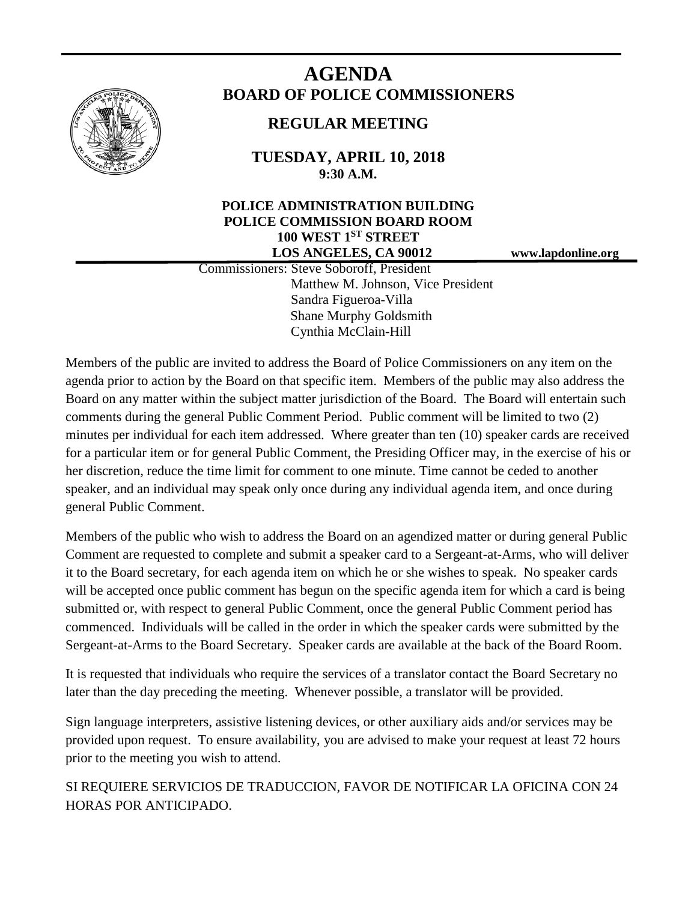

# **AGENDA BOARD OF POLICE COMMISSIONERS**

# **REGULAR MEETING**

**TUESDAY, APRIL 10, 2018 9:30 A.M.**

# **POLICE ADMINISTRATION BUILDING POLICE COMMISSION BOARD ROOM 100 WEST 1ST STREET LOS ANGELES, CA 90012 www.lapdonline.org**

 Commissioners: Steve Soboroff, President Matthew M. Johnson, Vice President Sandra Figueroa-Villa Shane Murphy Goldsmith Cynthia McClain-Hill

Members of the public are invited to address the Board of Police Commissioners on any item on the agenda prior to action by the Board on that specific item. Members of the public may also address the Board on any matter within the subject matter jurisdiction of the Board. The Board will entertain such comments during the general Public Comment Period. Public comment will be limited to two (2) minutes per individual for each item addressed. Where greater than ten (10) speaker cards are received for a particular item or for general Public Comment, the Presiding Officer may, in the exercise of his or her discretion, reduce the time limit for comment to one minute. Time cannot be ceded to another speaker, and an individual may speak only once during any individual agenda item, and once during general Public Comment.

Members of the public who wish to address the Board on an agendized matter or during general Public Comment are requested to complete and submit a speaker card to a Sergeant-at-Arms, who will deliver it to the Board secretary, for each agenda item on which he or she wishes to speak. No speaker cards will be accepted once public comment has begun on the specific agenda item for which a card is being submitted or, with respect to general Public Comment, once the general Public Comment period has commenced. Individuals will be called in the order in which the speaker cards were submitted by the Sergeant-at-Arms to the Board Secretary. Speaker cards are available at the back of the Board Room.

It is requested that individuals who require the services of a translator contact the Board Secretary no later than the day preceding the meeting. Whenever possible, a translator will be provided.

Sign language interpreters, assistive listening devices, or other auxiliary aids and/or services may be provided upon request. To ensure availability, you are advised to make your request at least 72 hours prior to the meeting you wish to attend.

SI REQUIERE SERVICIOS DE TRADUCCION, FAVOR DE NOTIFICAR LA OFICINA CON 24 HORAS POR ANTICIPADO.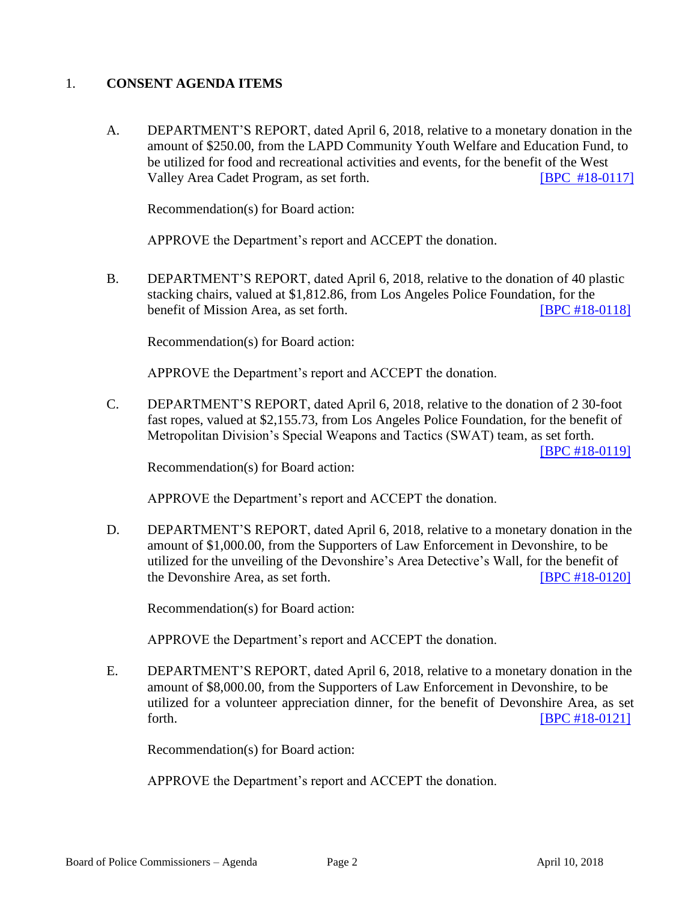# 1. **CONSENT AGENDA ITEMS**

A. DEPARTMENT'S REPORT, dated April 6, 2018, relative to a monetary donation in the amount of \$250.00, from the LAPD Community Youth Welfare and Education Fund, to be utilized for food and recreational activities and events, for the benefit of the West Valley Area Cadet Program, as set forth. **[\[BPC #18-0117\]](http://www.lapdpolicecom.lacity.org/041018/BPC_18-0117.pdf)** 

Recommendation(s) for Board action:

APPROVE the Department's report and ACCEPT the donation.

B. DEPARTMENT'S REPORT, dated April 6, 2018, relative to the donation of 40 plastic stacking chairs, valued at \$1,812.86, from Los Angeles Police Foundation, for the benefit of Mission Area, as set forth. **[\[BPC #18-0118\]](http://www.lapdpolicecom.lacity.org/041018/BPC_18-0118.pdf)** 

Recommendation(s) for Board action:

APPROVE the Department's report and ACCEPT the donation.

C. DEPARTMENT'S REPORT, dated April 6, 2018, relative to the donation of 2 30-foot fast ropes, valued at \$2,155.73, from Los Angeles Police Foundation, for the benefit of Metropolitan Division's Special Weapons and Tactics (SWAT) team, as set forth.

[\[BPC #18-0119\]](http://www.lapdpolicecom.lacity.org/041018/BPC_18-0119.pdf)

Recommendation(s) for Board action:

APPROVE the Department's report and ACCEPT the donation.

D. DEPARTMENT'S REPORT, dated April 6, 2018, relative to a monetary donation in the amount of \$1,000.00, from the Supporters of Law Enforcement in Devonshire, to be utilized for the unveiling of the Devonshire's Area Detective's Wall, for the benefit of the Devonshire Area, as set forth. [\[BPC #18-0120\]](http://www.lapdpolicecom.lacity.org/041018/BPC_18-0120.pdf)

Recommendation(s) for Board action:

APPROVE the Department's report and ACCEPT the donation.

E. DEPARTMENT'S REPORT, dated April 6, 2018, relative to a monetary donation in the amount of \$8,000.00, from the Supporters of Law Enforcement in Devonshire, to be utilized for a volunteer appreciation dinner, for the benefit of Devonshire Area, as set forth. [\[BPC #18-0121\]](http://www.lapdpolicecom.lacity.org/041018/BPC_18-0121.pdf)

Recommendation(s) for Board action:

APPROVE the Department's report and ACCEPT the donation.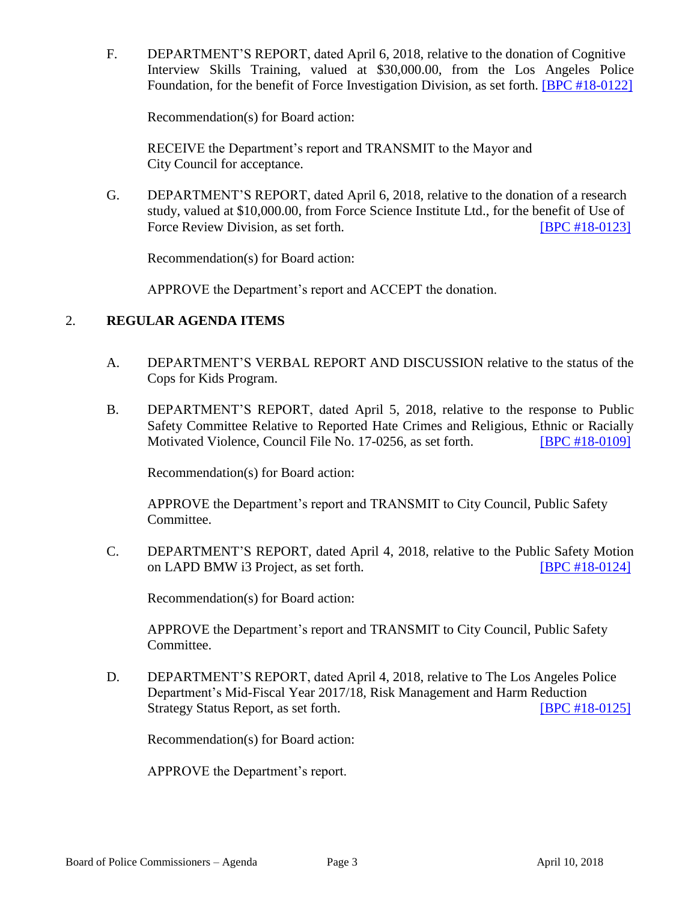F. DEPARTMENT'S REPORT, dated April 6, 2018, relative to the donation of Cognitive Interview Skills Training, valued at \$30,000.00, from the Los Angeles Police Foundation, for the benefit of Force Investigation Division, as set forth. [\[BPC #18-0122\]](http://www.lapdpolicecom.lacity.org/041018/BPC_18-0122.pdf)

Recommendation(s) for Board action:

RECEIVE the Department's report and TRANSMIT to the Mayor and City Council for acceptance.

G. DEPARTMENT'S REPORT, dated April 6, 2018, relative to the donation of a research study, valued at \$10,000.00, from Force Science Institute Ltd., for the benefit of Use of Force Review Division, as set forth. [\[BPC #18-0123\]](http://www.lapdpolicecom.lacity.org/041018/BPC_18-0123.pdf)

Recommendation(s) for Board action:

APPROVE the Department's report and ACCEPT the donation.

#### 2. **REGULAR AGENDA ITEMS**

- A. DEPARTMENT'S VERBAL REPORT AND DISCUSSION relative to the status of the Cops for Kids Program.
- B. DEPARTMENT'S REPORT, dated April 5, 2018, relative to the response to Public Safety Committee Relative to Reported Hate Crimes and Religious, Ethnic or Racially Motivated Violence, Council File No. 17-0256, as set forth. **[\[BPC #18-0109\]](http://www.lapdpolicecom.lacity.org/032018/BPC_18-0109.pdf)**

Recommendation(s) for Board action:

APPROVE the Department's report and TRANSMIT to City Council, Public Safety Committee.

C. DEPARTMENT'S REPORT, dated April 4, 2018, relative to the Public Safety Motion on LAPD BMW i3 Project, as set forth. [\[BPC #18-0124\]](http://www.lapdpolicecom.lacity.org/041018/BPC_18-0124.pdf)

Recommendation(s) for Board action:

APPROVE the Department's report and TRANSMIT to City Council, Public Safety Committee.

D. DEPARTMENT'S REPORT, dated April 4, 2018, relative to The Los Angeles Police Department's Mid-Fiscal Year 2017/18, Risk Management and Harm Reduction Strategy Status Report, as set forth. **ISPC #18-0125** 

Recommendation(s) for Board action:

APPROVE the Department's report.